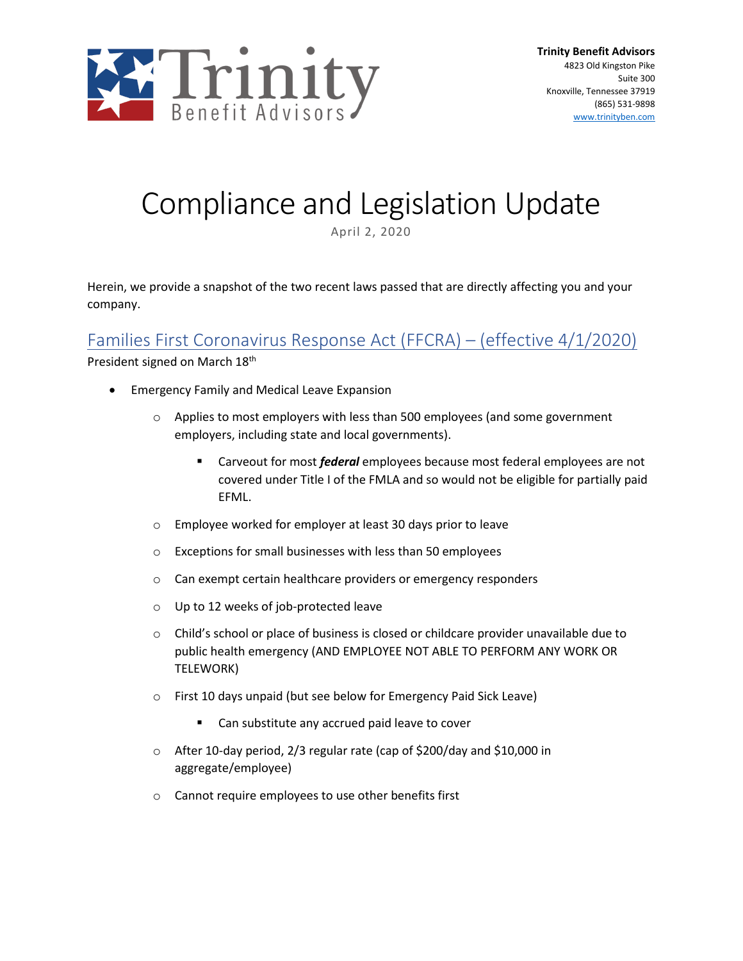

# Compliance and Legislation Update

April 2, 2020

Herein, we provide a snapshot of the two recent laws passed that are directly affecting you and your company.

### Families First Coronavirus Response Act (FFCRA) – (effective 4/1/2020)

President signed on March 18<sup>th</sup>

- Emergency Family and Medical Leave Expansion
	- o Applies to most employers with less than 500 employees (and some government employers, including state and local governments).
		- Carveout for most *federal* employees because most federal employees are not covered under Title I of the FMLA and so would not be eligible for partially paid EFML.
	- o Employee worked for employer at least 30 days prior to leave
	- o Exceptions for small businesses with less than 50 employees
	- o Can exempt certain healthcare providers or emergency responders
	- o Up to 12 weeks of job-protected leave
	- $\circ$  Child's school or place of business is closed or childcare provider unavailable due to public health emergency (AND EMPLOYEE NOT ABLE TO PERFORM ANY WORK OR TELEWORK)
	- o First 10 days unpaid (but see below for Emergency Paid Sick Leave)
		- Can substitute any accrued paid leave to cover
	- o After 10-day period, 2/3 regular rate (cap of \$200/day and \$10,000 in aggregate/employee)
	- o Cannot require employees to use other benefits first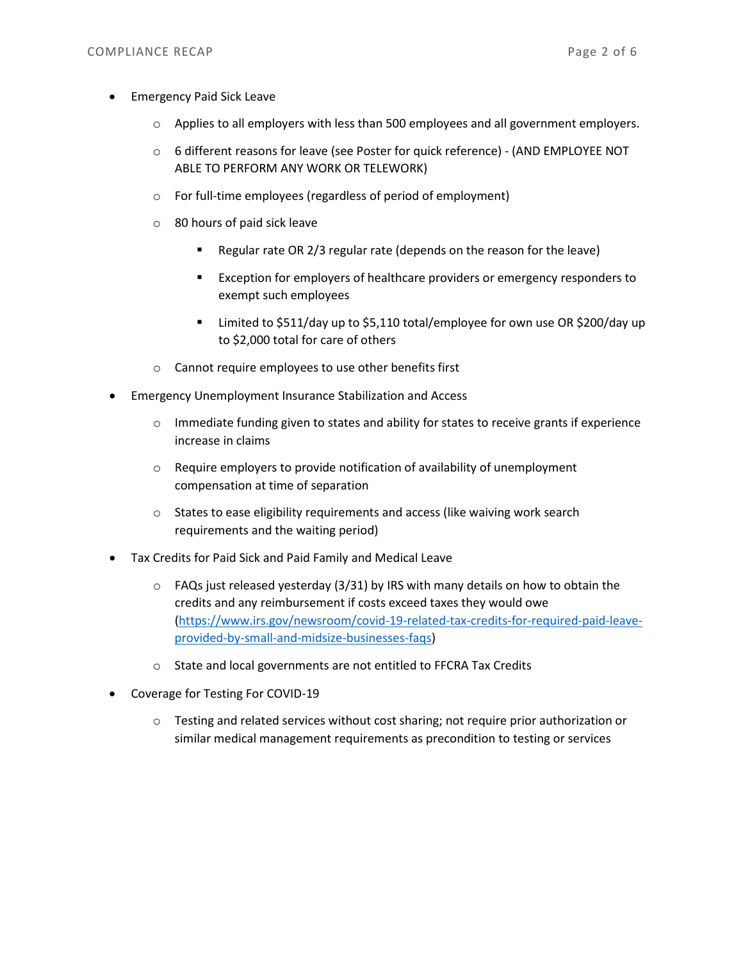- Emergency Paid Sick Leave
	- o Applies to all employers with less than 500 employees and all government employers.
	- o 6 different reasons for leave (see Poster for quick reference) (AND EMPLOYEE NOT ABLE TO PERFORM ANY WORK OR TELEWORK)
	- o For full-time employees (regardless of period of employment)
	- o 80 hours of paid sick leave
		- Regular rate OR 2/3 regular rate (depends on the reason for the leave)
		- Exception for employers of healthcare providers or emergency responders to exempt such employees
		- Limited to \$511/day up to \$5,110 total/employee for own use OR \$200/day up to \$2,000 total for care of others
	- o Cannot require employees to use other benefits first
- Emergency Unemployment Insurance Stabilization and Access
	- $\circ$  Immediate funding given to states and ability for states to receive grants if experience increase in claims
	- $\circ$  Require employers to provide notification of availability of unemployment compensation at time of separation
	- o States to ease eligibility requirements and access (like waiving work search requirements and the waiting period)
- Tax Credits for Paid Sick and Paid Family and Medical Leave
	- $\circ$  FAQs just released yesterday (3/31) by IRS with many details on how to obtain the credits and any reimbursement if costs exceed taxes they would owe [\(https://www.irs.gov/newsroom/covid-19-related-tax-credits-for-required-paid-leave](https://www.irs.gov/newsroom/covid-19-related-tax-credits-for-required-paid-leave-provided-by-small-and-midsize-businesses-faqs)[provided-by-small-and-midsize-businesses-faqs\)](https://www.irs.gov/newsroom/covid-19-related-tax-credits-for-required-paid-leave-provided-by-small-and-midsize-businesses-faqs)
	- o State and local governments are not entitled to FFCRA Tax Credits
- Coverage for Testing For COVID-19
	- o Testing and related services without cost sharing; not require prior authorization or similar medical management requirements as precondition to testing or services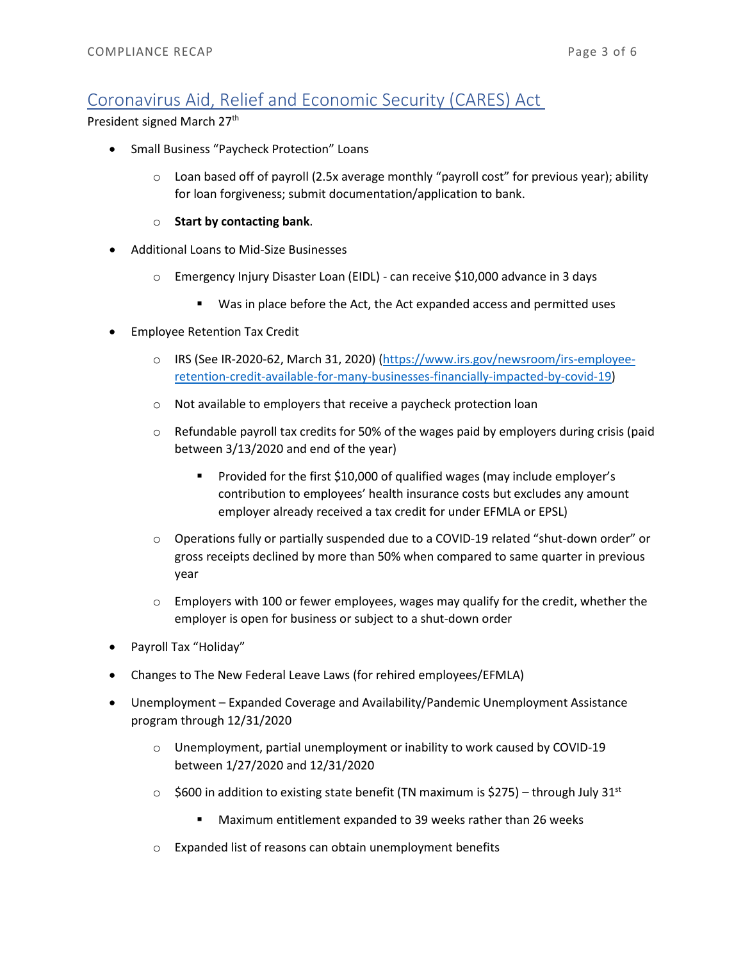## Coronavirus Aid, Relief and Economic Security (CARES) Act

President signed March 27<sup>th</sup>

- Small Business "Paycheck Protection" Loans
	- $\circ$  Loan based off of payroll (2.5x average monthly "payroll cost" for previous year); ability for loan forgiveness; submit documentation/application to bank.
	- o **Start by contacting bank**.
- Additional Loans to Mid-Size Businesses
	- o Emergency Injury Disaster Loan (EIDL) can receive \$10,000 advance in 3 days
		- Was in place before the Act, the Act expanded access and permitted uses
- Employee Retention Tax Credit
	- o IRS (See IR-2020-62, March 31, 2020) [\(https://www.irs.gov/newsroom/irs-employee](https://www.irs.gov/newsroom/irs-employee-retention-credit-available-for-many-businesses-financially-impacted-by-covid-19)[retention-credit-available-for-many-businesses-financially-impacted-by-covid-19\)](https://www.irs.gov/newsroom/irs-employee-retention-credit-available-for-many-businesses-financially-impacted-by-covid-19)
	- o Not available to employers that receive a paycheck protection loan
	- $\circ$  Refundable payroll tax credits for 50% of the wages paid by employers during crisis (paid between 3/13/2020 and end of the year)
		- **Provided for the first \$10,000 of qualified wages (may include employer's** contribution to employees' health insurance costs but excludes any amount employer already received a tax credit for under EFMLA or EPSL)
	- o Operations fully or partially suspended due to a COVID-19 related "shut-down order" or gross receipts declined by more than 50% when compared to same quarter in previous year
	- $\circ$  Employers with 100 or fewer employees, wages may qualify for the credit, whether the employer is open for business or subject to a shut-down order
- Payroll Tax "Holiday"
- Changes to The New Federal Leave Laws (for rehired employees/EFMLA)
- Unemployment Expanded Coverage and Availability/Pandemic Unemployment Assistance program through 12/31/2020
	- o Unemployment, partial unemployment or inability to work caused by COVID-19 between 1/27/2020 and 12/31/2020
	- $\circ$  \$600 in addition to existing state benefit (TN maximum is \$275) through July 31st
		- Maximum entitlement expanded to 39 weeks rather than 26 weeks
	- o Expanded list of reasons can obtain unemployment benefits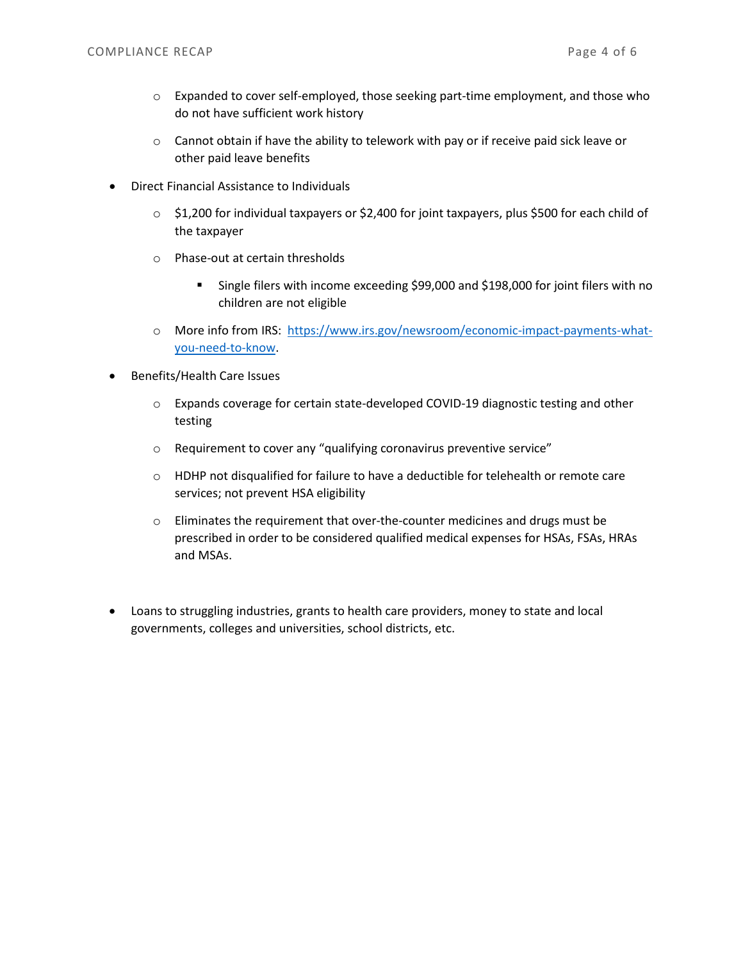- $\circ$  Expanded to cover self-employed, those seeking part-time employment, and those who do not have sufficient work history
- $\circ$  Cannot obtain if have the ability to telework with pay or if receive paid sick leave or other paid leave benefits
- Direct Financial Assistance to Individuals
	- $\circ$  \$1,200 for individual taxpayers or \$2,400 for joint taxpayers, plus \$500 for each child of the taxpayer
	- o Phase-out at certain thresholds
		- Single filers with income exceeding \$99,000 and \$198,000 for joint filers with no children are not eligible
	- o More info from IRS: [https://www.irs.gov/newsroom/economic-impact-payments-what](https://www.irs.gov/newsroom/economic-impact-payments-what-you-need-to-know)[you-need-to-know.](https://www.irs.gov/newsroom/economic-impact-payments-what-you-need-to-know)
- Benefits/Health Care Issues
	- o Expands coverage for certain state-developed COVID-19 diagnostic testing and other testing
	- o Requirement to cover any "qualifying coronavirus preventive service"
	- $\circ$  HDHP not disqualified for failure to have a deductible for telehealth or remote care services; not prevent HSA eligibility
	- o Eliminates the requirement that over-the-counter medicines and drugs must be prescribed in order to be considered qualified medical expenses for HSAs, FSAs, HRAs and MSAs.
- Loans to struggling industries, grants to health care providers, money to state and local governments, colleges and universities, school districts, etc.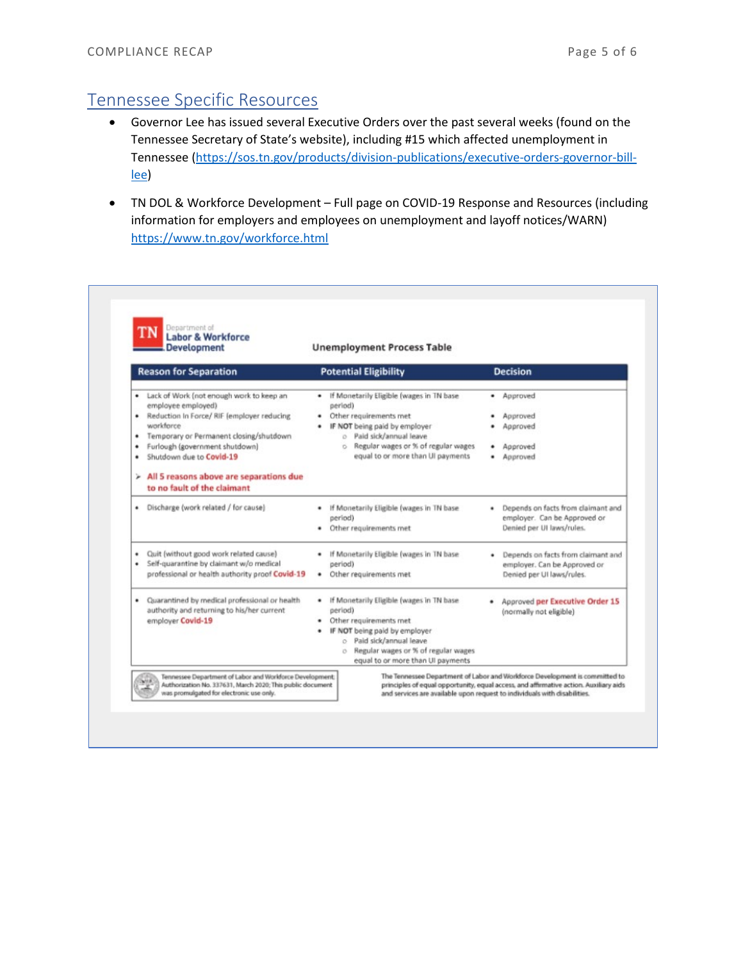## Tennessee Specific Resources

- Governor Lee has issued several Executive Orders over the past several weeks (found on the Tennessee Secretary of State's website), including #15 which affected unemployment in Tennessee [\(https://sos.tn.gov/products/division-publications/executive-orders-governor-bill](https://sos.tn.gov/products/division-publications/executive-orders-governor-bill-lee)[lee\)](https://sos.tn.gov/products/division-publications/executive-orders-governor-bill-lee)
- TN DOL & Workforce Development Full page on COVID-19 Response and Resources (including information for employers and employees on unemployment and layoff notices/WARN) <https://www.tn.gov/workforce.html>

| <b>Labor &amp; Workforce</b><br><b>Development</b>                                                                                                                                                                                                                                                  | <b>Unemployment Process Table</b>                                                                                                                                                                                                 |                                                                                                 |
|-----------------------------------------------------------------------------------------------------------------------------------------------------------------------------------------------------------------------------------------------------------------------------------------------------|-----------------------------------------------------------------------------------------------------------------------------------------------------------------------------------------------------------------------------------|-------------------------------------------------------------------------------------------------|
| <b>Reason for Separation</b>                                                                                                                                                                                                                                                                        | <b>Potential Eligibility</b>                                                                                                                                                                                                      | <b>Decision</b>                                                                                 |
| . Lack of Work (not enough work to keep an<br>employee employed)<br>Reduction In Force/ RIF (employer reducing<br>٠<br>workforce<br>Temporary or Permanent closing/shutdown<br>٠<br>Furlough (government shutdown)<br>٠<br>Shutdown due to Covid-19<br>٠<br>All 5 reasons above are separations due | If Monetarily Eligible (wages in TN base<br>period)<br>Other requirements met<br>IF NOT being paid by employer<br>o Paid sick/annual leave<br>o Regular wages or % of regular wages<br>equal to or more than UI payments          | Approved<br>Approved<br>Approved<br>Approved<br>Approved                                        |
| to no fault of the claimant<br>Discharge (work related / for cause)<br>٠                                                                                                                                                                                                                            | If Monetarily Eligible (wages in TN base<br>period)<br>Other requirements met                                                                                                                                                     | Depends on facts from claimant and<br>employer. Can be Approved or<br>Denied per UI laws/rules. |
| Quit (without good work related cause)<br>٠<br>Self-quarantine by claimant w/o medical<br>٠<br>professional or health authority proof Covid-19                                                                                                                                                      | If Monetarily Eligible (wages in TN base<br>period)<br>Other requirements met<br>٠                                                                                                                                                | Depends on facts from claimant and<br>employer. Can be Approved or<br>Denied per UI laws/rules. |
| Quarantined by medical professional or health<br>٠<br>authority and returning to his/her current<br>employer Covid-19                                                                                                                                                                               | If Monetarily Eligible (wages in TN base<br>period)<br>Other requirements met<br>IF NOT being paid by employer<br>o Paid sick/annual leave<br>Regular wages or % of regular wages<br>$\circ$<br>equal to or more than UI payments | Approved per Executive Order 15<br>(normally not eligible)                                      |